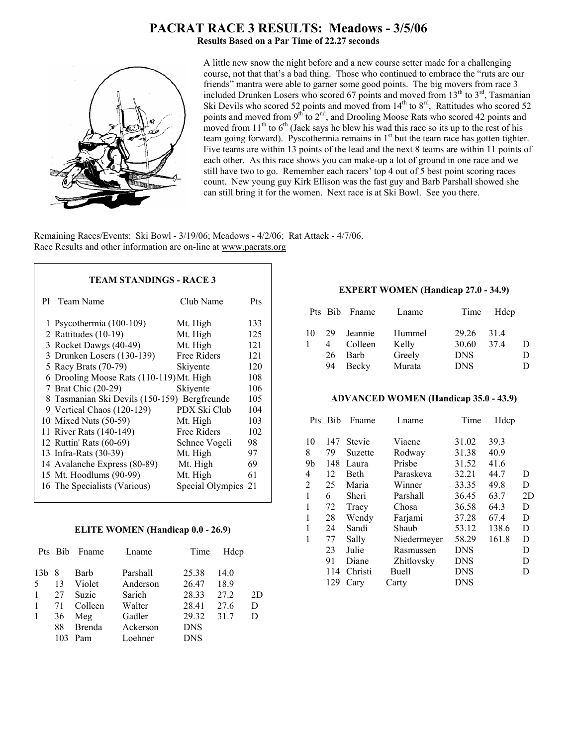# **PACRAT RACE 3 RESULTS: Meadows - 3/5/06**

**Results Based on a Par Time of 22.27 seconds**



A little new snow the night before and a new course setter made for a challenging course, not that that's a bad thing. Those who continued to embrace the "ruts are our friends" mantra were able to garner some good points. The big movers from race 3 included Drunken Losers who scored 67 points and moved from  $13<sup>th</sup>$  to  $3<sup>rd</sup>$ , Tasmanian Ski Devils who scored 52 points and moved from  $14<sup>th</sup>$  to  $8<sup>rd</sup>$ , Rattitudes who scored 52 points and moved from  $9<sup>th</sup>$  to  $2<sup>nd</sup>$ , and Drooling Moose Rats who scored 42 points and moved from  $11<sup>th</sup>$  to  $6<sup>th</sup>$  (Jack says he blew his wad this race so its up to the rest of his team going forward). Pyscothermia remains in 1<sup>st</sup> but the team race has gotten tighter. Five teams are within 13 points of the lead and the next 8 teams are within 11 points of each other. As this race shows you can make-up a lot of ground in one race and we still have two to go. Remember each racers' top 4 out of 5 best point scoring races count. New young guy Kirk Ellison was the fast guy and Barb Parshall showed she can still bring it for the women. Next race is at Ski Bowl. See you there.

Remaining Races/Events: Ski Bowl - 3/19/06; Meadows - 4/2/06; Rat Attack - 4/7/06. Race Results and other information are on-line at www.pacrats.org

## **TEAM STANDINGS - RACE 3**

| P1 | Team Name                                    | Club Name        | Pts |
|----|----------------------------------------------|------------------|-----|
|    | 1 Psycothermia (100-109)                     | Mt. High         | 133 |
|    | 2 Rattitudes $(10-19)$                       | Mt. High         | 125 |
|    | 3 Rocket Dawgs (40-49)                       | Mt. High         | 121 |
|    | 3 Drunken Losers (130-139)                   | Free Riders      | 121 |
|    | 5 Racy Brats (70-79)                         | Skiyente         | 120 |
|    | 6 Drooling Moose Rats (110-119) Mt. High     |                  | 108 |
|    | 7 Brat Chic (20-29)                          | Skiyente         | 106 |
|    | 8 Tasmanian Ski Devils (150-159) Bergfreunde |                  | 105 |
|    | 9 Vertical Chaos (120-129)                   | PDX Ski Club     | 104 |
|    | 10 Mixed Nuts (50-59)                        | Mt. High         | 103 |
|    | 11 River Rats (140-149)                      | Free Riders      | 102 |
|    | 12 Ruttin' Rats (60-69)                      | Schnee Vogeli    | 98  |
|    | 13 Infra-Rats (30-39)                        | Mt. High         | 97  |
|    | 14 Avalanche Express (80-89)                 | Mt. High         | 69  |
|    | 15 Mt. Hoodlums (90-99)                      | Mt. High         | 61  |
|    | 16 The Specialists (Various)                 | Special Olympics | 21  |
|    |                                              |                  |     |

#### **ELITE WOMEN (Handicap 0.0 - 26.9)**

|                 | Pts Bib | Fname         | Lname    | Time       | Hdcp |    |
|-----------------|---------|---------------|----------|------------|------|----|
| 13 <sub>b</sub> | 8       | Barb          | Parshall | 25.38      | 14.0 |    |
| 5               | 13      | Violet        | Anderson | 26.47      | 18.9 |    |
| $\mathbf{1}$    | 27      | Suzie         | Sarich   | 28.33      | 27.2 | 2D |
| $\mathbf{1}$    | 71      | Colleen       | Walter   | 28.41      | 27.6 | D  |
| 1               | 36      | Meg           | Gadler   | 29.32      | 31.7 | D  |
|                 | 88      | <b>Brenda</b> | Ackerson | <b>DNS</b> |      |    |
|                 | 103     | Pam           | Loehner  | <b>DNS</b> |      |    |

#### **EXPERT WOMEN (Handicap 27.0 - 34.9)**

|    |          | Pts Bib Fname | Lname  |            | Time Hdcp |              |
|----|----------|---------------|--------|------------|-----------|--------------|
| 10 | 29       | Jeannie       | Hummel | 29.26      | 314       |              |
|    | $\sim$ 4 | Colleen       | Kelly  | 30.60      | 374       | D            |
|    | 26       | Barb          | Greely | <b>DNS</b> |           | Ð            |
|    | 94       | Becky         | Murata | <b>DNS</b> |           | $\mathbf{D}$ |

#### **ADVANCED WOMEN (Handicap 35.0 - 43.9)**

| Pts            | Bib | Fname         | Lname       | Time       | Hdcp  |    |
|----------------|-----|---------------|-------------|------------|-------|----|
| 10             | 147 | <b>Stevie</b> | Viaene      | 31.02      | 39.3  |    |
| 8              | 79  | Suzette       | Rodway      | 31.38      | 40.9  |    |
| 9b             | 148 | Laura         | Prisbe      | 31.52      | 41.6  |    |
| 4              | 12  | <b>Beth</b>   | Paraskeva   | 32.21      | 44.7  | D  |
| $\overline{2}$ | 25  | Maria         | Winner      | 33.35      | 49.8  | D  |
| 1              | 6   | Sheri         | Parshall    | 36.45      | 63.7  | 2D |
| 1              | 72  | Tracy         | Chosa       | 36.58      | 64.3  | D  |
| 1              | 28  | Wendy         | Farjami     | 37.28      | 67.4  | D  |
| 1              | 24  | Sandi         | Shaub       | 53.12      | 138.6 | D  |
| 1              | 77  | Sally         | Niedermeyer | 58.29      | 161.8 | D  |
|                | 23  | Julie         | Rasmussen   | <b>DNS</b> |       | D  |
|                | 91  | Diane         | Zhitlovsky  | <b>DNS</b> |       | D  |
|                | 114 | Christi       | Buell       | <b>DNS</b> |       | D  |
|                | 129 | Cary          | Carty       | <b>DNS</b> |       |    |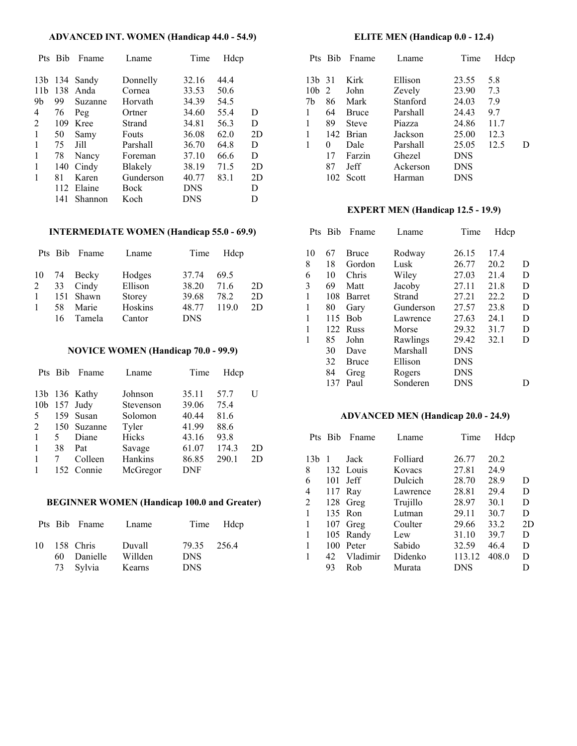## **ADVANCED INT. WOMEN (Handicap 44.0 - 54.9)**

|                 | Pts Bib | Fname   | Lname       | Time  | Hdcp |    |
|-----------------|---------|---------|-------------|-------|------|----|
| 13 <sub>b</sub> | 134     | Sandy   | Donnelly    | 32.16 | 44.4 |    |
| 11 <sub>b</sub> | 138     | Anda    | Cornea      | 33.53 | 50.6 |    |
| 9b              | 99      | Suzanne | Horvath     | 34.39 | 54.5 |    |
| 4               | 76      | Peg     | Ortner      | 34.60 | 55.4 | D  |
| 2               | 109     | Kree    | Strand      | 34.81 | 56.3 | D  |
| 1               | 50      | Samy    | Fouts       | 36.08 | 62.0 | 2D |
| 1               | 75      | Jill    | Parshall    | 36.70 | 64.8 | D  |
| 1               | 78      | Nancy   | Foreman     | 37.10 | 66.6 | D  |
| 1               | 140     | Cindy   | Blakely     | 38.19 | 71.5 | 2D |
| 1               | 81      | Karen   | Gunderson   | 40.77 | 83.1 | 2D |
|                 | 112     | Elaine  | <b>Bock</b> | DNS   |      | D  |
|                 | 141     | Shannon | Koch        | DNS   |      | D  |

#### **INTERMEDIATE WOMEN (Handicap 55.0 - 69.9)**

|              |    | Pts Bib Fname | Lname   | Time       | Hdcp  |    |
|--------------|----|---------------|---------|------------|-------|----|
|              |    | 10 74 Becky   | Hodges  | 37.74      | 69.5  |    |
|              |    | $2$ 33 Cindy  | Ellison | 38.20      | 71.6  | 2D |
| 1            |    | 151 Shawn     | Storey  | 39.68      | 78.2  | 2D |
| $\mathbf{1}$ | 58 | Marie         | Hoskins | 48.77      | 119.0 | 2D |
|              | 16 | Tamela        | Cantor  | <b>DNS</b> |       |    |

#### **NOVICE WOMEN (Handicap 70.0 - 99.9)**

|                 | Pts Bib | Fname         | Lname     | Time       | Hdcp  |    |
|-----------------|---------|---------------|-----------|------------|-------|----|
|                 |         |               |           |            |       |    |
|                 |         | 13b 136 Kathy | Johnson   | 35.11      | 57.7  | U  |
| 10 <sub>b</sub> |         | $157$ Judy    | Stevenson | 39.06      | 75.4  |    |
| 5               |         | 159 Susan     | Solomon   | 40.44      | 81.6  |    |
| 2               |         | 150 Suzanne   | Tyler     | 41.99      | 88.6  |    |
| $\mathbf{1}$    | 5       | Diane         | Hicks     | 43.16      | 93.8  |    |
| $\mathbf{1}$    | 38      | Pat           | Savage    | 61.07      | 174.3 | 2D |
| $\mathbf{1}$    |         | Colleen       | Hankins   | 86.85      | 290.1 | 2D |
|                 | 152     | Connie        | McGregor  | <b>DNF</b> |       |    |

## **BEGINNER WOMEN (Handicap 100.0 and Greater)**

|    | Pts Bib Fname                         | Lname                       |                                         | Time Hdcp |
|----|---------------------------------------|-----------------------------|-----------------------------------------|-----------|
| 10 | 158 Chris<br>60 Danielle<br>73 Sylvia | Duvall<br>Willden<br>Kearns | 79.35 256.4<br><b>DNS</b><br><b>DNS</b> |           |

## **ELITE MEN (Handicap 0.0 - 12.4)**

|                 | Pts Bib | Fname        | Lname    | Time       | Hdcp |   |
|-----------------|---------|--------------|----------|------------|------|---|
|                 |         | Kirk         |          |            |      |   |
| 13 <sub>b</sub> | -31     |              | Ellison  | 23.55      | 5.8  |   |
| 10 <sub>b</sub> | 2       | John         | Zevely   | 23.90      | 7.3  |   |
| 7b              | 86      | Mark         | Stanford | 24.03      | 7.9  |   |
| 1               | 64      | Bruce        | Parshall | 24.43      | 9.7  |   |
| 1               | 89      | <b>Steve</b> | Piazza   | 24.86      | 11.7 |   |
| 1               | 142     | <b>Brian</b> | Jackson  | 25.00      | 12.3 |   |
| 1               | 0       | Dale         | Parshall | 25.05      | 12.5 | D |
|                 | 17      | Farzin       | Ghezel   | <b>DNS</b> |      |   |
|                 | 87      | Jeff         | Ackerson | <b>DNS</b> |      |   |
|                 | 102     | Scott        | Harman   | <b>DNS</b> |      |   |

# **EXPERT MEN (Handicap 12.5 - 19.9)**

|    | Pts Bib | Fname         | Lname     | Time       | Hdcp |   |
|----|---------|---------------|-----------|------------|------|---|
| 10 | 67      | <b>Bruce</b>  | Rodway    | 26.15      | 17.4 |   |
| 8  | 18      | Gordon        | Lusk      | 26.77      | 20.2 | D |
| 6  | 10      | Chris         | Wiley     | 27.03      | 21.4 | D |
| 3  | 69      | Matt          | Jacoby    | 27.11      | 21.8 | D |
| 1  | 108     | <b>Barret</b> | Strand    | 27.21      | 22.2 | D |
| 1  | 80      | Gary          | Gunderson | 27.57      | 23.8 | D |
| 1  | 115     | <b>B</b> ob   | Lawrence  | 27.63      | 24.1 | D |
|    | 122     | <b>Russ</b>   | Morse     | 29.32      | 31.7 | D |
| 1  | 85      | John          | Rawlings  | 29.42      | 32.1 | D |
|    | 30      | Dave          | Marshall  | <b>DNS</b> |      |   |
|    | 32      | Bruce         | Ellison   | <b>DNS</b> |      |   |
|    | 84      | Greg          | Rogers    | <b>DNS</b> |      |   |
|    | 137     | Paul          | Sonderen  | <b>DNS</b> |      | D |

#### **ADVANCED MEN (Handicap 20.0 - 24.9)**

|                | Pts Bib | Fname     | Lname    | Time   | Hdcp  |    |
|----------------|---------|-----------|----------|--------|-------|----|
|                |         |           |          |        |       |    |
| 13b            |         | Jack      | Folliard | 26.77  | 20.2  |    |
| 8              |         | 132 Louis | Kovacs   | 27.81  | 24.9  |    |
| 6              | 101     | Jeff      | Dulcich  | 28.70  | 28.9  | D  |
| 4              | 117     | Ray       | Lawrence | 28.81  | 29.4  | D  |
| $\overline{2}$ | 128     | Greg      | Trujillo | 28.97  | 30.1  | D  |
|                |         | 135 Ron   | Lutman   | 29.11  | 30.7  | D  |
|                |         | 107 Greg  | Coulter  | 29.66  | 33.2  | 2D |
| 1              |         | 105 Randy | Lew      | 31.10  | 39.7  | D  |
| 1              | 100     | Peter     | Sabido   | 32.59  | 46.4  | D  |
| 1              | 42      | Vladimir  | Didenko  | 113.12 | 408.0 | D  |
|                | 93      | Rob       | Murata   | DNS    |       |    |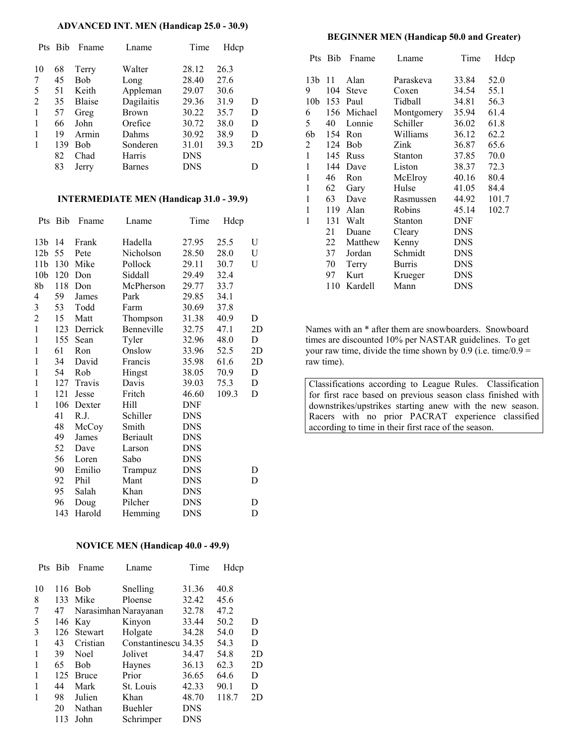#### **ADVANCED INT. MEN (Handicap 25.0 - 30.9)**

|    | Pts Bib | Fname         | Lname        | Time       | Hdcp |    |
|----|---------|---------------|--------------|------------|------|----|
| 10 | 68      | Terry         | Walter       | 28.12      | 26.3 |    |
|    | 45      | <b>Bob</b>    | Long         | 28.40      | 27.6 |    |
| 5  | 51      | Keith         | Appleman     | 29.07      | 30.6 |    |
| 2  | 35      | <b>Blaise</b> | Dagilaitis   | 29.36      | 31.9 | D  |
| 1  | 57      | Greg          | <b>Brown</b> | 30.22      | 35.7 | D  |
| 1  | 66      | John          | Orefice      | 30.72      | 38.0 | D  |
|    | 19      | Armin         | Dahms        | 30.92      | 38.9 | D  |
|    | 139     | <b>Bob</b>    | Sonderen     | 31.01      | 39.3 | 2D |
|    | 82      | Chad          | Harris       | <b>DNS</b> |      |    |
|    | 83      | Jerry         | Barnes       | <b>DNS</b> |      |    |

#### **INTERMEDIATE MEN (Handicap 31.0 - 39.9)**

| Pts             | Bib | Fname       | Lname      | Time       | Hdcp  |    |
|-----------------|-----|-------------|------------|------------|-------|----|
| 13 <sub>b</sub> | 14  | Frank       | Hadella    | 27.95      | 25.5  | U  |
| 12 <sub>b</sub> | 55  | Pete        | Nicholson  | 28.50      | 28.0  | U  |
| 11 <sub>b</sub> | 130 | Mike        | Pollock    | 29.11      | 30.7  | U  |
| 10 <sub>b</sub> | 120 | Don         | Siddall    | 29.49      | 32.4  |    |
| 8b              | 118 | Don         | McPherson  | 29.77      | 33.7  |    |
| 4               | 59  | James       | Park       | 29.85      | 34.1  |    |
| 3               | 53  | Todd        | Farm       | 30.69      | 37.8  |    |
| $\overline{c}$  | 15  | Matt        | Thompson   | 31.38      | 40.9  | D  |
| $\mathbf{1}$    |     | 123 Derrick | Benneville | 32.75      | 47.1  | 2D |
| $\mathbf{1}$    | 155 | Sean        | Tyler      | 32.96      | 48.0  | D  |
| $\mathbf{1}$    | 61  | Ron         | Onslow     | 33.96      | 52.5  | 2D |
| $\mathbf{1}$    | 34  | David       | Francis    | 35.98      | 61.6  | 2D |
| 1               | 54  | Rob         | Hingst     | 38.05      | 70.9  | D  |
| 1               | 127 | Travis      | Davis      | 39.03      | 75.3  | D  |
| $\mathbf{1}$    | 121 | Jesse       | Fritch     | 46.60      | 109.3 | D  |
| 1               | 106 | Dexter      | Hill       | DNF        |       |    |
|                 | 41  | R.J.        | Schiller   | <b>DNS</b> |       |    |
|                 | 48  | McCoy       | Smith      | <b>DNS</b> |       |    |
|                 | 49  | James       | Beriault   | <b>DNS</b> |       |    |
|                 | 52  | Dave        | Larson     | <b>DNS</b> |       |    |
|                 | 56  | Loren       | Sabo       | <b>DNS</b> |       |    |
|                 | 90  | Emilio      | Trampuz    | <b>DNS</b> |       | D  |
|                 | 92  | Phil        | Mant       | <b>DNS</b> |       | D  |
|                 | 95  | Salah       | Khan       | <b>DNS</b> |       |    |
|                 | 96  | Doug        | Pilcher    | <b>DNS</b> |       | D  |
|                 | 143 | Harold      | Hemming    | <b>DNS</b> |       | D  |

## **NOVICE MEN (Handicap 40.0 - 49.9)**

| <b>Bib</b> | Fname          | Lname     | Time                 | Hdcp                 |    |
|------------|----------------|-----------|----------------------|----------------------|----|
|            |                |           |                      |                      |    |
| 116        | <b>Bob</b>     | Snelling  | 31.36                | 40.8                 |    |
| 133        | Mike           | Ploense   | 32.42                | 45.6                 |    |
| 47         |                |           | 32.78                | 47.2                 |    |
| 146        | Kay            | Kinyon    | 33.44                | 50.2                 | D  |
| 126        | <b>Stewart</b> | Holgate   | 34.28                | 54.0                 | D  |
| 43         | Cristian       |           |                      | 54.3                 | D  |
| 39         | Noel           | Jolivet   | 34.47                | 54.8                 | 2D |
| 65         | <b>Bob</b>     | Haynes    | 36.13                | 62.3                 | 2D |
| 125        | <b>Bruce</b>   | Prior     | 36.65                | 64.6                 | D  |
| 44         | Mark           | St. Louis | 42.33                | 90.1                 | D  |
| 98         | Julien         | Khan      | 48.70                | 118.7                | 2D |
| 20         | Nathan         | Buehler   | <b>DNS</b>           |                      |    |
| 113        | John           | Schrimper | <b>DNS</b>           |                      |    |
|            |                |           | Narasimhan Narayanan | Constantinescu 34.35 |    |

#### **BEGINNER MEN (Handicap 50.0 and Greater)**

|                 | Pts Bib | Fname        | Lname      | Time       | Hdcp  |
|-----------------|---------|--------------|------------|------------|-------|
| 13 <sub>b</sub> | 11      | Alan         | Paraskeva  | 33.84      | 52.0  |
| 9               | 104     | <b>Steve</b> | Coxen      | 34.54      | 55.1  |
| 10 <sub>b</sub> | 153     | Paul         | Tidball    | 34.81      | 56.3  |
| 6               | 156     | Michael      | Montgomery | 35.94      | 61.4  |
| 5               | 40      | Lonnie       | Schiller   | 36.02      | 61.8  |
| 6b              | 154     | Ron          | Williams   | 36.12      | 62.2  |
| 2               | 124     | Bob          | Zink       | 36.87      | 65.6  |
| $\mathbf{1}$    | 145     | Russ         | Stanton    | 37.85      | 70.0  |
| 1               | 144     | Dave         | Liston     | 38.37      | 72.3  |
| 1               | 46      | Ron          | McElroy    | 40.16      | 80.4  |
| 1               | 62      | Gary         | Hulse      | 41.05      | 84.4  |
| 1               | 63      | Dave         | Rasmussen  | 44.92      | 101.7 |
| 1               | 119     | Alan         | Robins     | 45.14      | 102.7 |
| 1               | 131     | Walt         | Stanton    | DNF        |       |
|                 | 21      | Duane        | Cleary     | <b>DNS</b> |       |
|                 | 22      | Matthew      | Kenny      | <b>DNS</b> |       |
|                 | 37      | Jordan       | Schmidt    | <b>DNS</b> |       |
|                 | 70      | Terry        | Burris     | <b>DNS</b> |       |
|                 | 97      | Kurt         | Krueger    | <b>DNS</b> |       |
|                 | 110     | Kardell      | Mann       | <b>DNS</b> |       |

Names with an \* after them are snowboarders. Snowboard times are discounted 10% per NASTAR guidelines. To get your raw time, divide the time shown by  $0.9$  (i.e. time/ $0.9 =$ raw time).

Classifications according to League Rules. Classification for first race based on previous season class finished with downstrikes/upstrikes starting anew with the new season. Racers with no prior PACRAT experience classified according to time in their first race of the season.